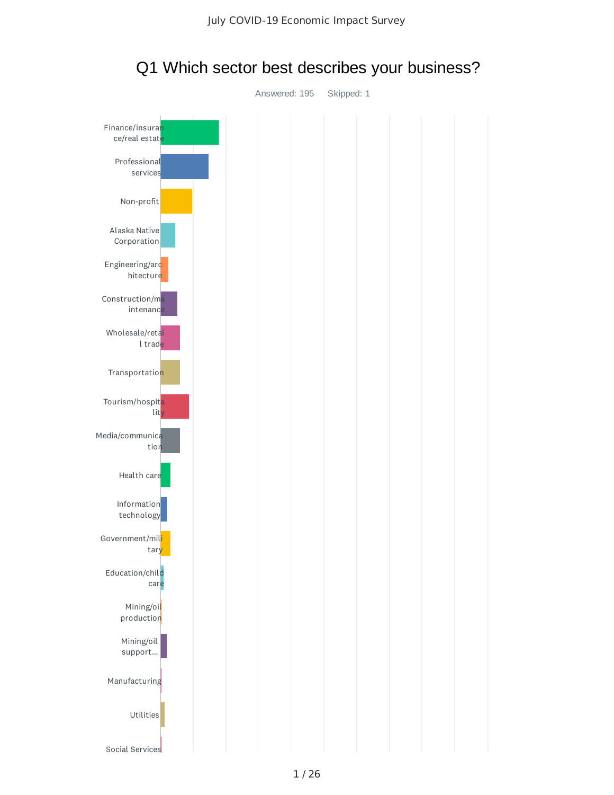

Q1 Which sector best describes your business?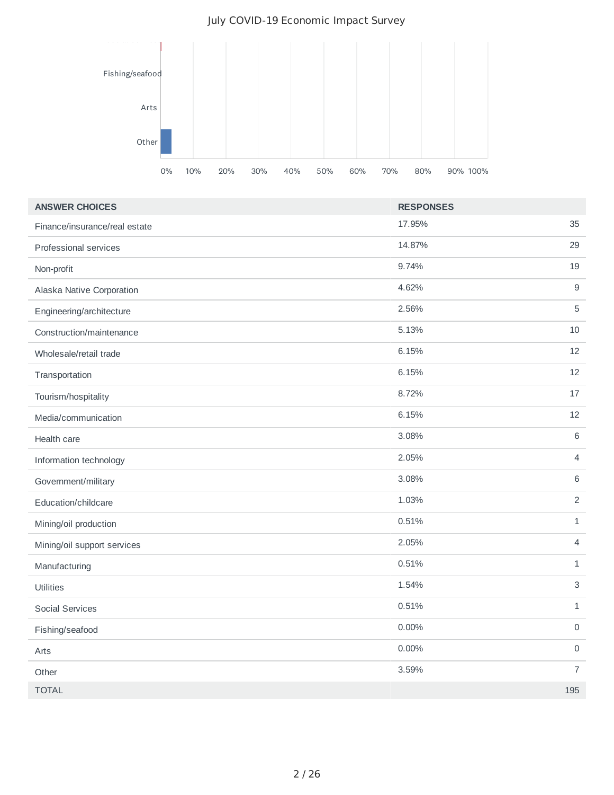#### July COVID-19 Economic Impact Survey



| <b>ANSWER CHOICES</b>         | <b>RESPONSES</b> |                     |
|-------------------------------|------------------|---------------------|
| Finance/insurance/real estate | 17.95%           | 35                  |
| Professional services         | 14.87%           | 29                  |
| Non-profit                    | 9.74%            | 19                  |
| Alaska Native Corporation     | 4.62%            | $\overline{9}$      |
| Engineering/architecture      | 2.56%            | 5                   |
| Construction/maintenance      | 5.13%            | 10                  |
| Wholesale/retail trade        | 6.15%            | 12                  |
| Transportation                | 6.15%            | 12                  |
| Tourism/hospitality           | 8.72%            | 17                  |
| Media/communication           | 6.15%            | 12                  |
| Health care                   | 3.08%            | $6\phantom{a}$      |
| Information technology        | 2.05%            | $\overline{4}$      |
| Government/military           | 3.08%            | $6\,$               |
| Education/childcare           | 1.03%            | $\overline{2}$      |
| Mining/oil production         | 0.51%            | $\mathbf{1}$        |
| Mining/oil support services   | 2.05%            | $\overline{4}$      |
| Manufacturing                 | 0.51%            | $\mathbf{1}$        |
| Utilities                     | 1.54%            | $\mathsf{3}$        |
| <b>Social Services</b>        | 0.51%            | $\mathbf{1}$        |
| Fishing/seafood               | $0.00\%$         | $\mathsf{O}\xspace$ |
| Arts                          | 0.00%            | $\mathsf{O}$        |
| Other                         | 3.59%            | $\overline{7}$      |
| <b>TOTAL</b>                  |                  | 195                 |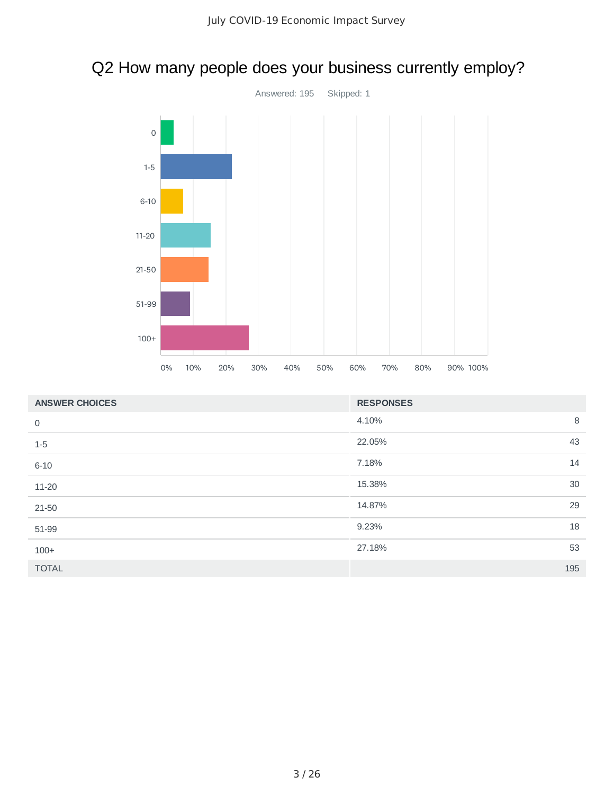## Q2 How many people does your business currently employ?



| <b>ANSWER CHOICES</b> | <b>RESPONSES</b> |
|-----------------------|------------------|
| 0                     | 8<br>4.10%       |
| $1-5$                 | 43<br>22.05%     |
| $6 - 10$              | 14<br>7.18%      |
| 11-20                 | 30<br>15.38%     |
| 21-50                 | 29<br>14.87%     |
| 51-99                 | 18<br>9.23%      |
| $100+$                | 53<br>27.18%     |
| <b>TOTAL</b>          | 195              |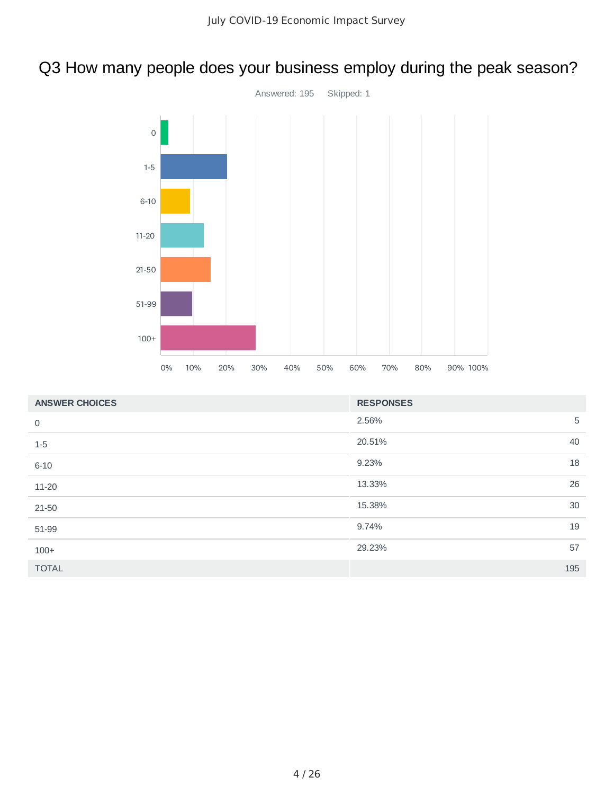# Q3 How many people does your business employ during the peak season?



| <b>ANSWER CHOICES</b> | <b>RESPONSES</b> |  |
|-----------------------|------------------|--|
| $\mathbf 0$           | 5<br>2.56%       |  |
| $1-5$                 | 40<br>20.51%     |  |
| $6 - 10$              | 18<br>9.23%      |  |
| 11-20                 | 26<br>13.33%     |  |
| 21-50                 | 30<br>15.38%     |  |
| 51-99                 | 19<br>9.74%      |  |
| $100+$                | 57<br>29.23%     |  |
| <b>TOTAL</b>          | 195              |  |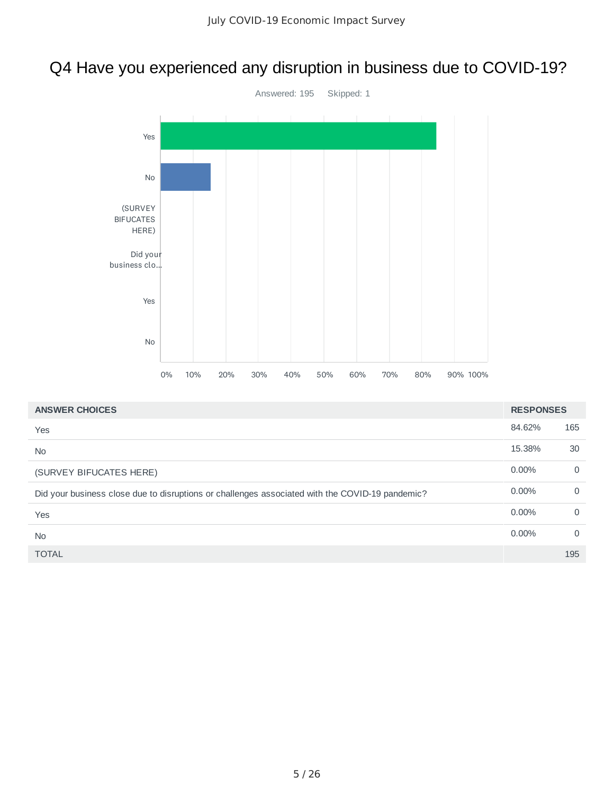## Q4 Have you experienced any disruption in business due to COVID-19?



| <b>ANSWER CHOICES</b>                                                                           | <b>RESPONSES</b> |             |
|-------------------------------------------------------------------------------------------------|------------------|-------------|
| Yes                                                                                             | 84.62%           | 165         |
| <b>No</b>                                                                                       | 15.38%           | 30          |
| (SURVEY BIFUCATES HERE)                                                                         | $0.00\%$         | $\Omega$    |
| Did your business close due to disruptions or challenges associated with the COVID-19 pandemic? | $0.00\%$         | $\mathbf 0$ |
| Yes                                                                                             | $0.00\%$         | $\Omega$    |
| <b>No</b>                                                                                       | $0.00\%$         | $\Omega$    |
| <b>TOTAL</b>                                                                                    |                  | 195         |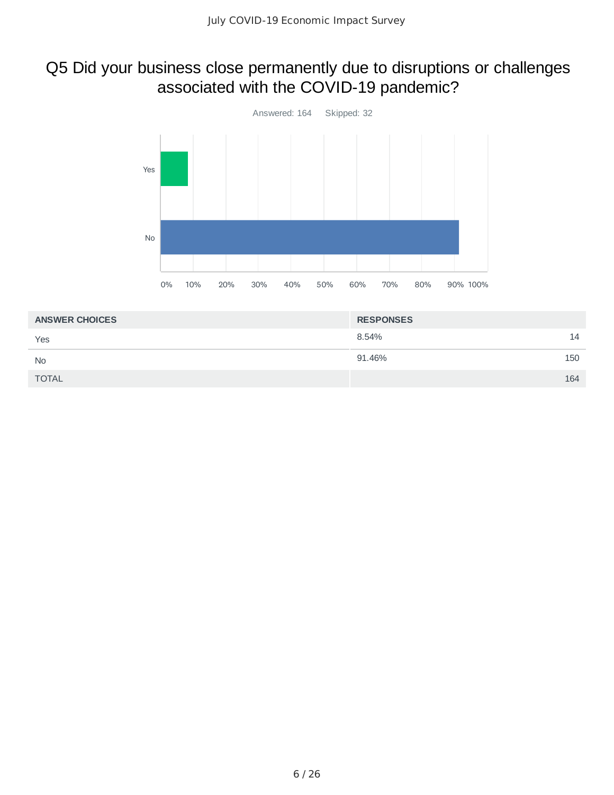## Q5 Did your business close permanently due to disruptions or challenges associated with the COVID-19 pandemic?



| <b>ANSWER CHOICES</b> | <b>RESPONSES</b> |     |
|-----------------------|------------------|-----|
| Yes                   | 8.54%            | 14  |
| <b>No</b>             | 91.46%           | 150 |
| <b>TOTAL</b>          |                  | 164 |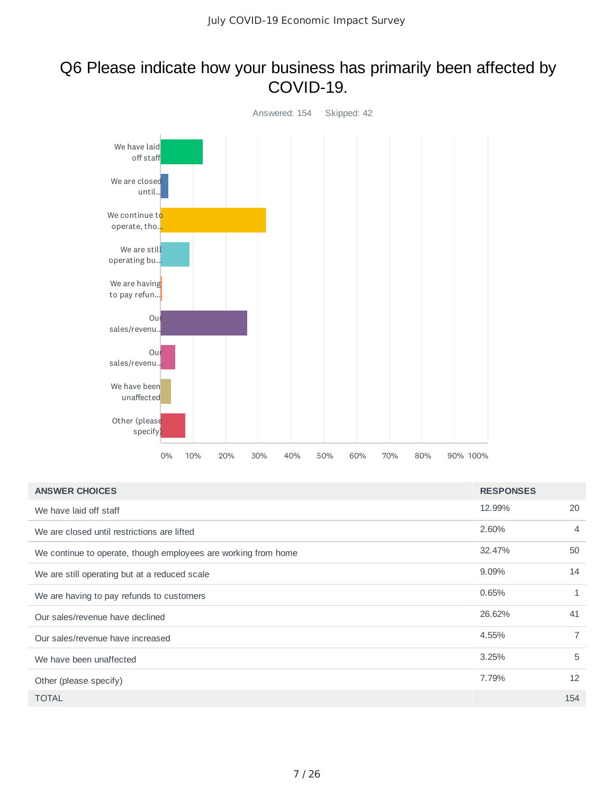### Q6 Please indicate how your business has primarily been affected by COVID-19.



| <b>ANSWER CHOICES</b>                                          | <b>RESPONSES</b> |                |
|----------------------------------------------------------------|------------------|----------------|
| We have laid off staff                                         | 12.99%           | 20             |
| We are closed until restrictions are lifted                    | 2.60%            | 4              |
| We continue to operate, though employees are working from home | 32.47%           | 50             |
| We are still operating but at a reduced scale                  | 9.09%            | 14             |
| We are having to pay refunds to customers                      | 0.65%            | 1              |
| Our sales/revenue have declined                                | 26.62%           | 41             |
| Our sales/revenue have increased                               | 4.55%            | $\overline{7}$ |
| We have been unaffected                                        | 3.25%            | 5              |
| Other (please specify)                                         | 7.79%            | 12             |
| <b>TOTAL</b>                                                   |                  | 154            |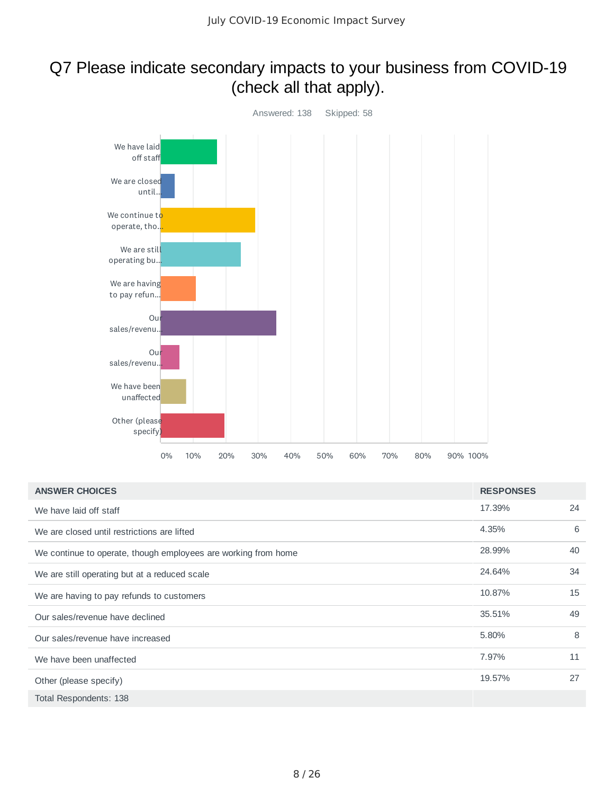### Q7 Please indicate secondary impacts to your business from COVID-19 (check all that apply).



| <b>ANSWER CHOICES</b>                                          | <b>RESPONSES</b> |    |
|----------------------------------------------------------------|------------------|----|
| We have laid off staff                                         | 17.39%           | 24 |
| We are closed until restrictions are lifted                    | 4.35%            | 6  |
| We continue to operate, though employees are working from home | 28.99%           | 40 |
| We are still operating but at a reduced scale                  | 24.64%           | 34 |
| We are having to pay refunds to customers                      | 10.87%           | 15 |
| Our sales/revenue have declined                                | 35.51%           | 49 |
| Our sales/revenue have increased                               | 5.80%            | 8  |
| We have been unaffected                                        | 7.97%            | 11 |
| Other (please specify)                                         | 19.57%           | 27 |
| Total Respondents: 138                                         |                  |    |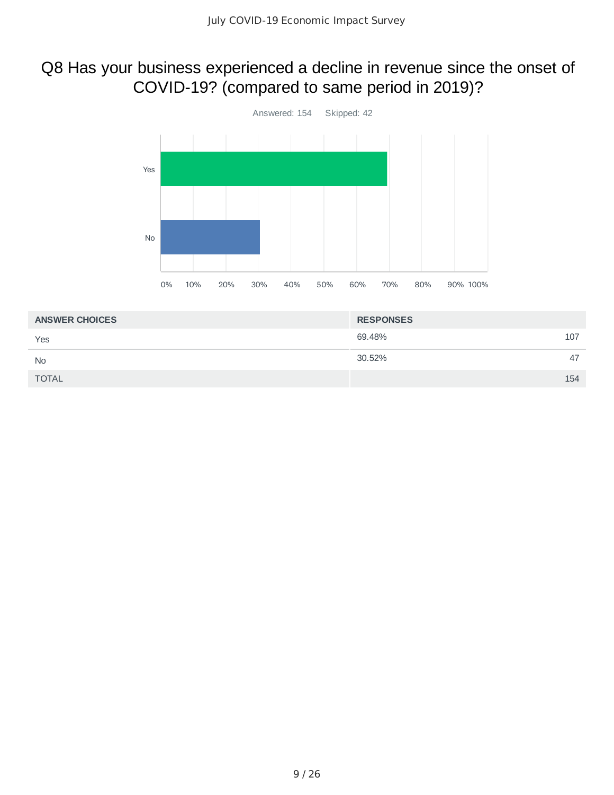## Q8 Has your business experienced a decline in revenue since the onset of COVID-19? (compared to same period in 2019)?



| <b>ANSWER CHOICES</b> | <b>RESPONSES</b> |     |
|-----------------------|------------------|-----|
| Yes                   | 69.48%<br>107    |     |
| <b>No</b>             | 30.52%           | 47  |
| <b>TOTAL</b>          |                  | 154 |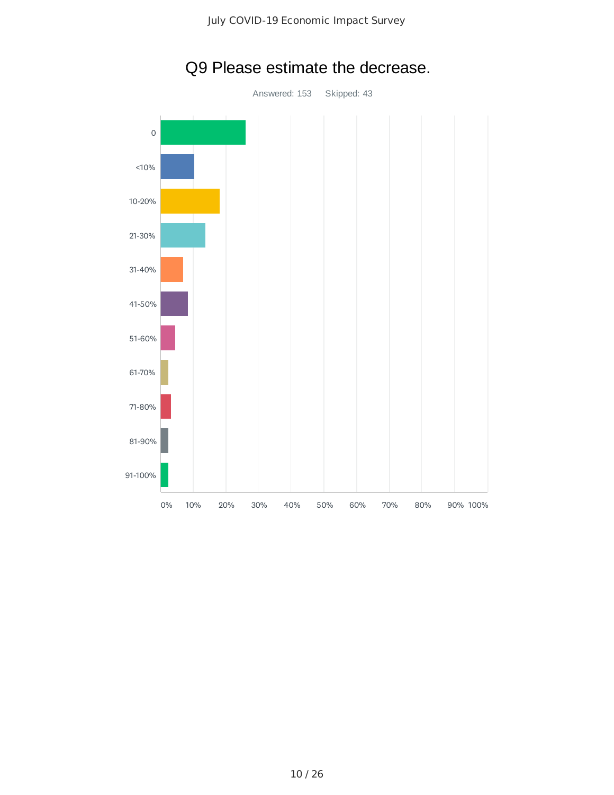

# Q9 Please estimate the decrease.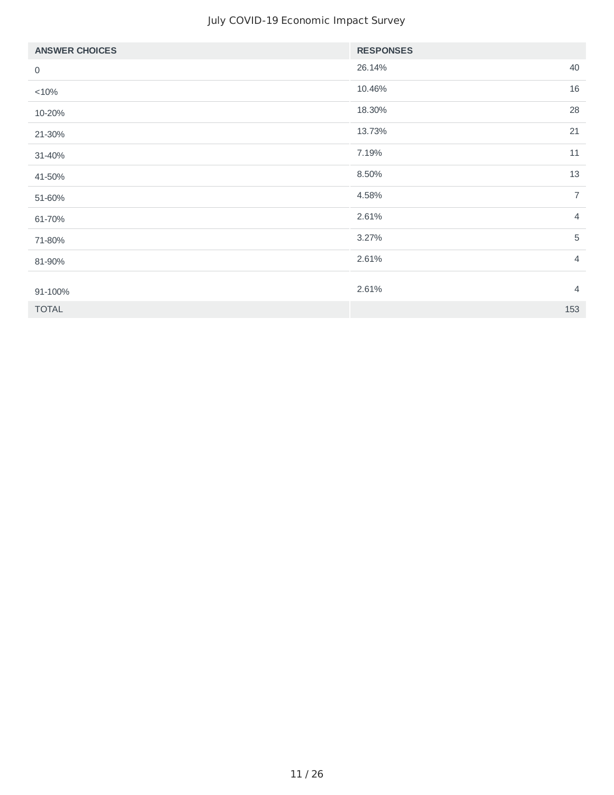#### July COVID-19 Economic Impact Survey

| <b>ANSWER CHOICES</b> | <b>RESPONSES</b> |                |
|-----------------------|------------------|----------------|
| 0                     | 26.14%           | 40             |
| <10%                  | 10.46%           | 16             |
| 10-20%                | 18.30%           | 28             |
| 21-30%                | 13.73%           | 21             |
| 31-40%                | 7.19%            | 11             |
| 41-50%                | 8.50%            | 13             |
| 51-60%                | 4.58%            | $\overline{7}$ |
| 61-70%                | 2.61%            | $\overline{4}$ |
| 71-80%                | 3.27%            | 5              |
| 81-90%                | 2.61%            | $\overline{4}$ |
|                       | 2.61%            | $\overline{4}$ |
| 91-100%               |                  |                |
| <b>TOTAL</b>          |                  | 153            |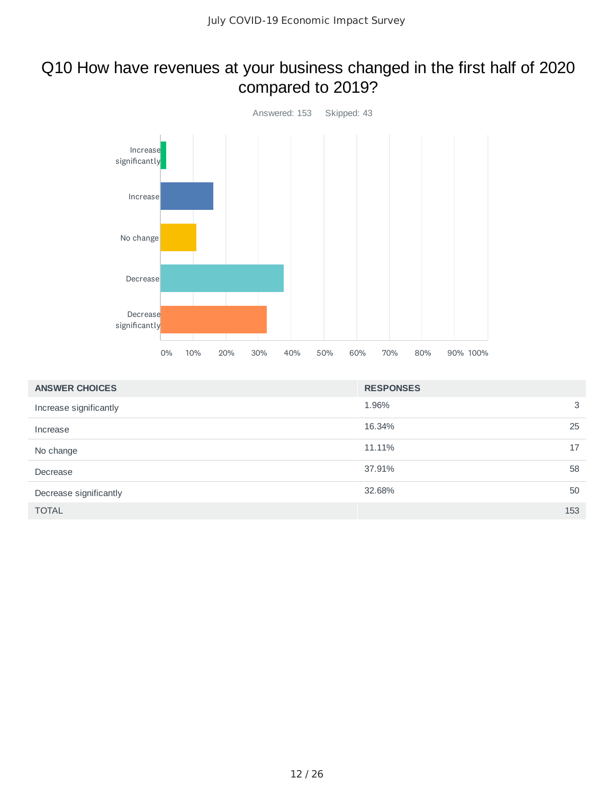### Q10 How have revenues at your business changed in the first half of 2020 compared to 2019?



| <b>ANSWER CHOICES</b>  | <b>RESPONSES</b> |
|------------------------|------------------|
| Increase significantly | 1.96%<br>3       |
| Increase               | 25<br>16.34%     |
| No change              | 17<br>11.11%     |
| Decrease               | 58<br>37.91%     |
| Decrease significantly | 50<br>32.68%     |
| <b>TOTAL</b>           | 153              |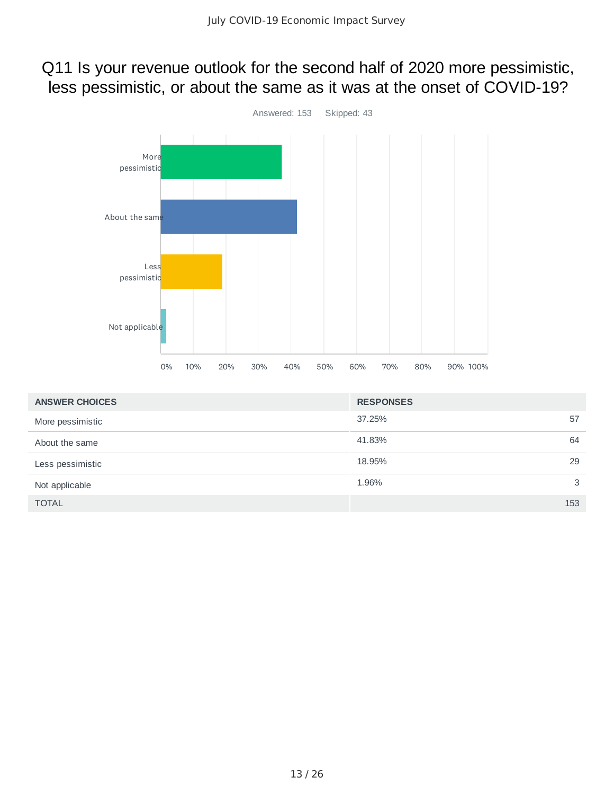### Q11 Is your revenue outlook for the second half of 2020 more pessimistic, less pessimistic, or about the same as it was at the onset of COVID-19?



| <b>ANSWER CHOICES</b> | <b>RESPONSES</b> |     |
|-----------------------|------------------|-----|
| More pessimistic      | 37.25%           | 57  |
| About the same        | 41.83%           | 64  |
| Less pessimistic      | 18.95%           | 29  |
| Not applicable        | 1.96%            | 3   |
| <b>TOTAL</b>          |                  | 153 |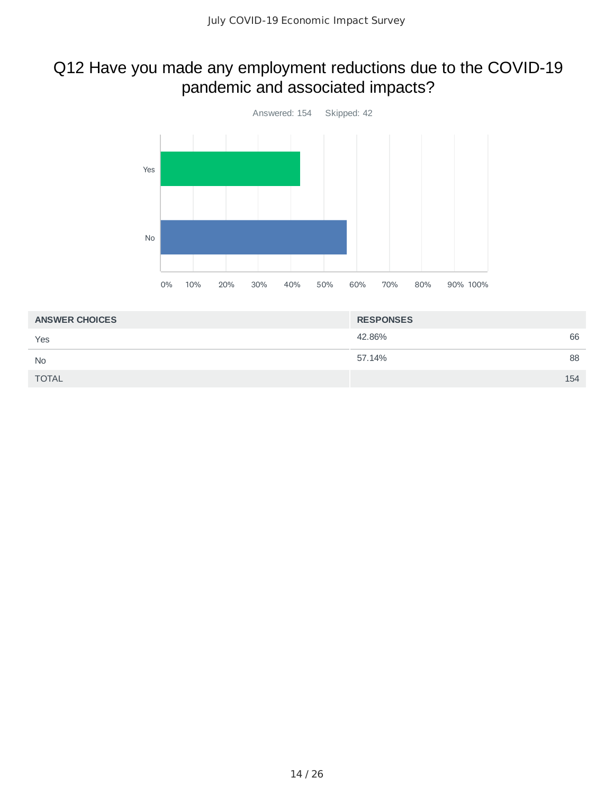### Q12 Have you made any employment reductions due to the COVID-19 pandemic and associated impacts?



| <b>ANSWER CHOICES</b> | <b>RESPONSES</b> |     |
|-----------------------|------------------|-----|
| Yes                   | 42.86%           | 66  |
| <b>No</b>             | 57.14%           | 88  |
| TOTAL                 |                  | 154 |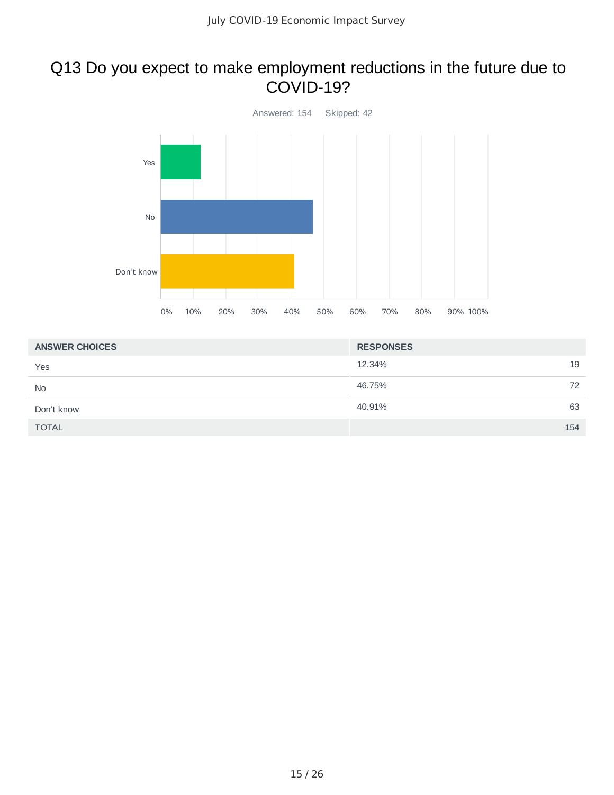### Q13 Do you expect to make employment reductions in the future due to COVID-19?



| <b>ANSWER CHOICES</b> | <b>RESPONSES</b> |
|-----------------------|------------------|
| Yes                   | 19<br>12.34%     |
| <b>No</b>             | 46.75%<br>72     |
| Don't know            | 63<br>40.91%     |
| <b>TOTAL</b>          | 154              |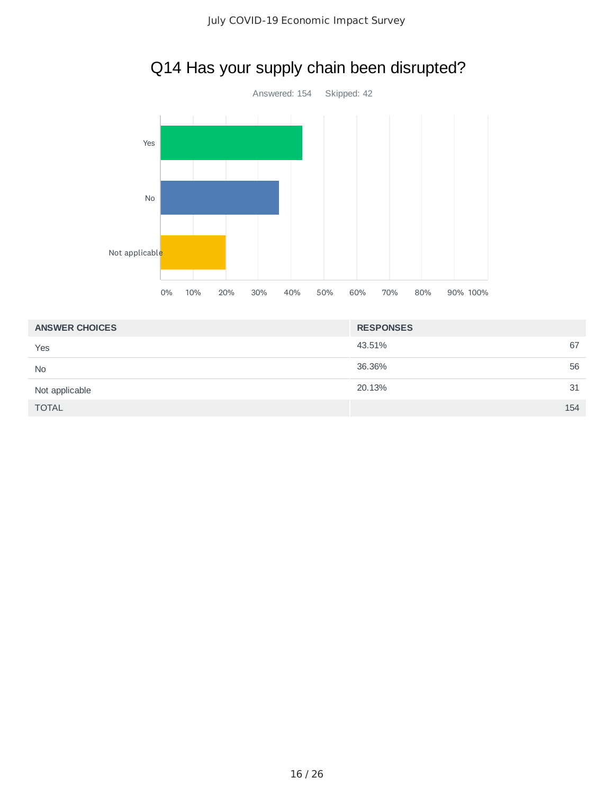

# Q14 Has your supply chain been disrupted?

| <b>ANSWER CHOICES</b> | <b>RESPONSES</b> |
|-----------------------|------------------|
| Yes                   | 43.51%<br>67     |
| <b>No</b>             | 36.36%<br>56     |
| Not applicable        | 20.13%<br>31     |
| <b>TOTAL</b>          | 154              |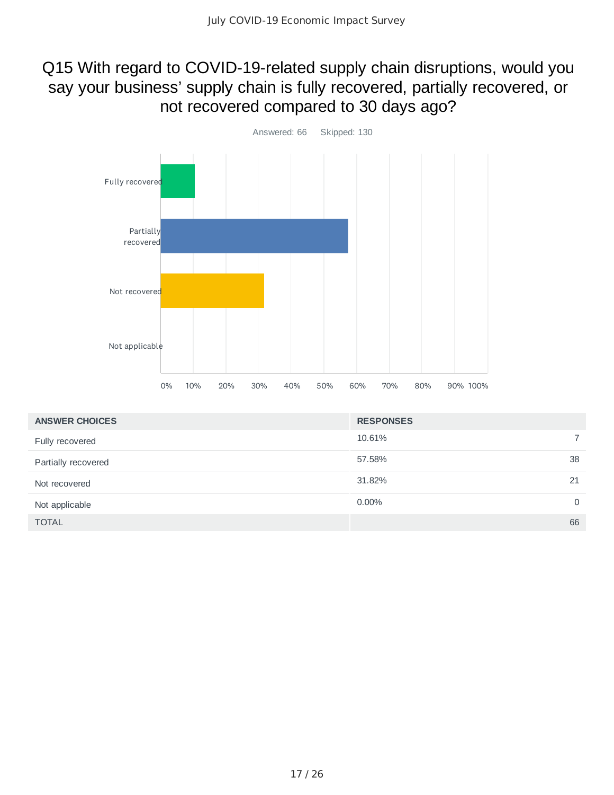### Q15 With regard to COVID-19-related supply chain disruptions, would you say your business' supply chain is fully recovered, partially recovered, or not recovered compared to 30 days ago?



| <b>ANSWER CHOICES</b> | <b>RESPONSES</b> |          |
|-----------------------|------------------|----------|
| Fully recovered       | 10.61%           |          |
| Partially recovered   | 57.58%           | 38       |
| Not recovered         | 31.82%           | 21       |
| Not applicable        | $0.00\%$         | $\Omega$ |
| <b>TOTAL</b>          |                  | 66       |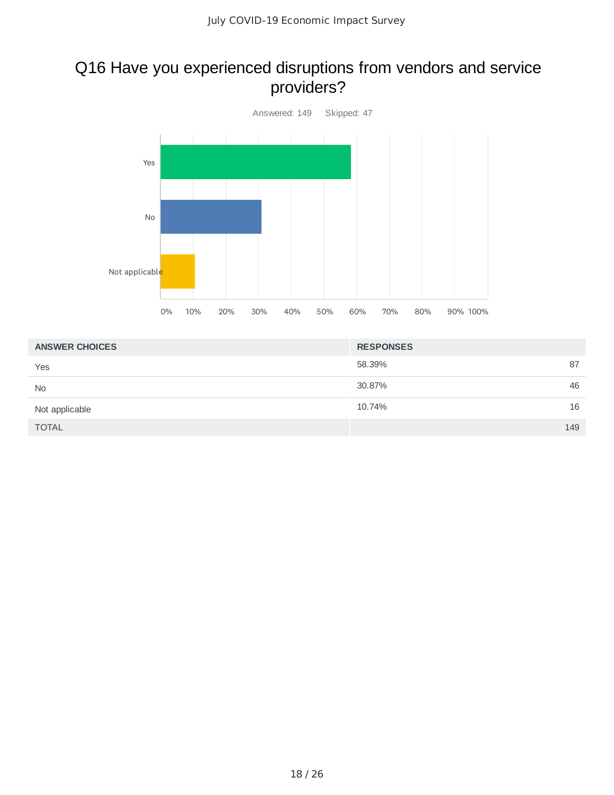### Q16 Have you experienced disruptions from vendors and service providers?



| <b>ANSWER CHOICES</b> | <b>RESPONSES</b> |
|-----------------------|------------------|
| Yes                   | 58.39%<br>87     |
| <b>No</b>             | 46<br>30.87%     |
| Not applicable        | 16<br>10.74%     |
| <b>TOTAL</b>          | 149              |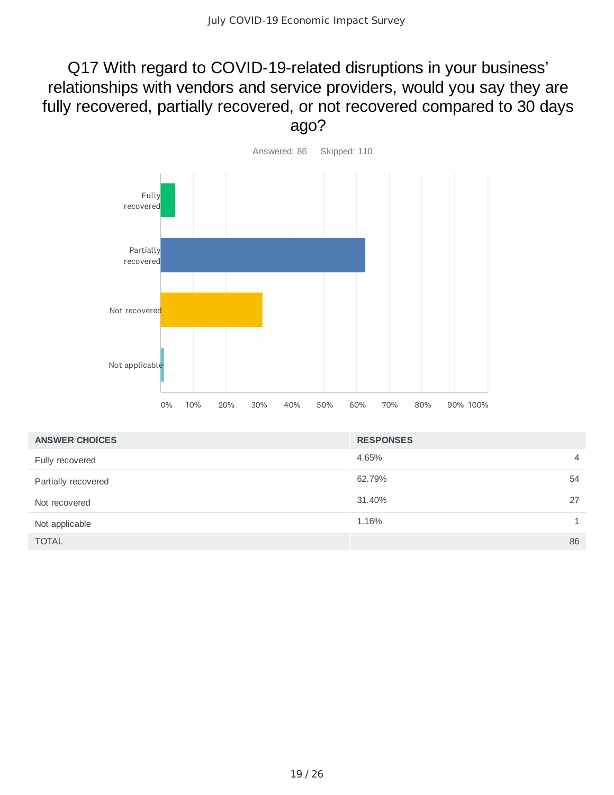### Q17 With regard to COVID-19-related disruptions in your business' relationships with vendors and service providers, would you say they are fully recovered, partially recovered, or not recovered compared to 30 days ago?



| <b>ANSWER CHOICES</b> | <b>RESPONSES</b> |                |
|-----------------------|------------------|----------------|
| Fully recovered       | 4.65%            | $\overline{4}$ |
| Partially recovered   | 62.79%           | 54             |
| Not recovered         | 31.40%           | 27             |
| Not applicable        | 1.16%            | $\mathbf{1}$   |
| <b>TOTAL</b>          |                  | 86             |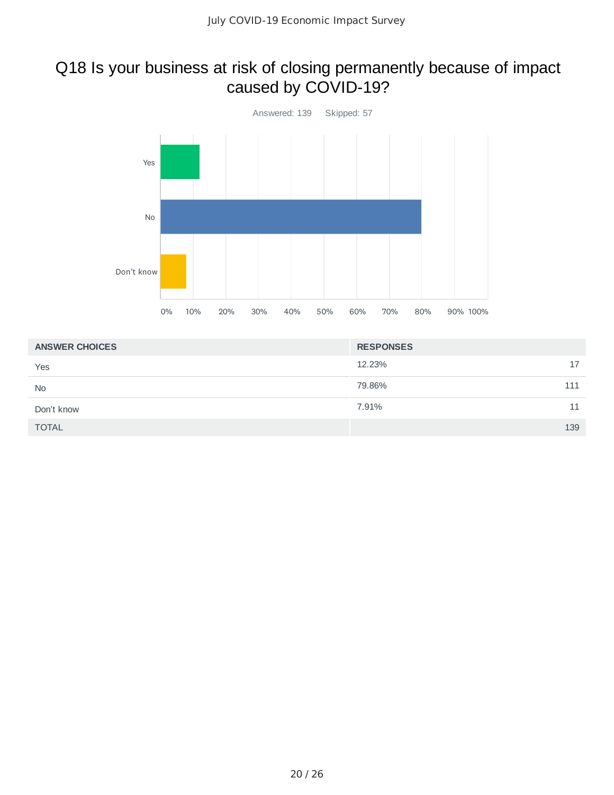### Q18 Is your business at risk of closing permanently because of impact caused by COVID-19?



| <b>ANSWER CHOICES</b> | <b>RESPONSES</b> |
|-----------------------|------------------|
| Yes                   | 12.23%<br>17     |
| <b>No</b>             | 79.86%<br>111    |
| Don't know            | 7.91%<br>11      |
| <b>TOTAL</b>          | 139              |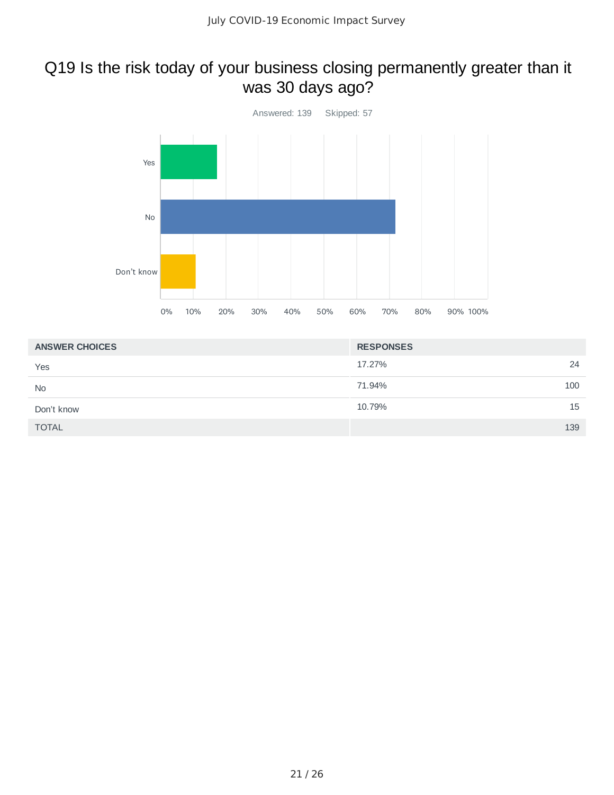# Q19 Is the risk today of your business closing permanently greater than it was 30 days ago?



| <b>ANSWER CHOICES</b> | <b>RESPONSES</b> |
|-----------------------|------------------|
| Yes                   | 24<br>17.27%     |
| <b>No</b>             | 71.94%<br>100    |
| Don't know            | 15<br>10.79%     |
| <b>TOTAL</b>          | 139              |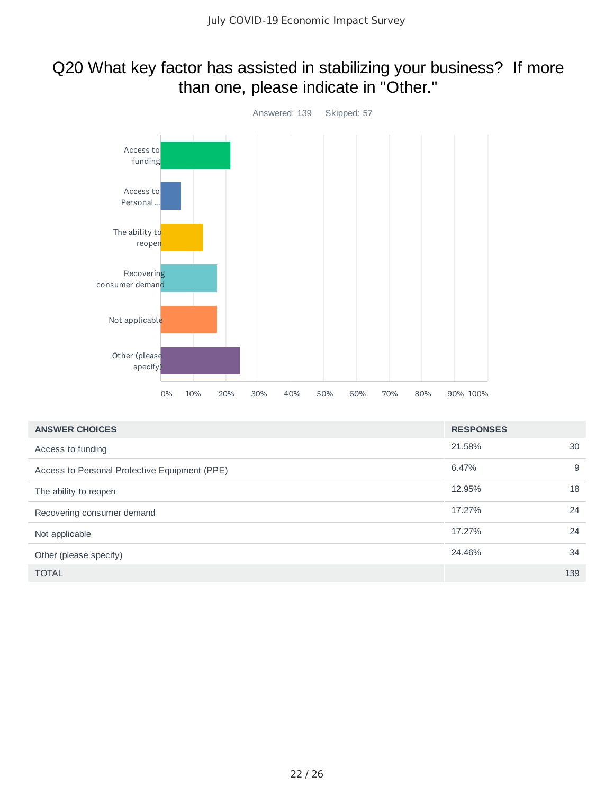### Q20 What key factor has assisted in stabilizing your business? If more than one, please indicate in "Other."



| <b>ANSWER CHOICES</b>                         | <b>RESPONSES</b> |     |
|-----------------------------------------------|------------------|-----|
| Access to funding                             | 21.58%           | 30  |
| Access to Personal Protective Equipment (PPE) | 6.47%            | 9   |
| The ability to reopen                         | 12.95%           | 18  |
| Recovering consumer demand                    | 17.27%           | 24  |
| Not applicable                                | 17.27%           | 24  |
| Other (please specify)                        | 24.46%           | 34  |
| <b>TOTAL</b>                                  |                  | 139 |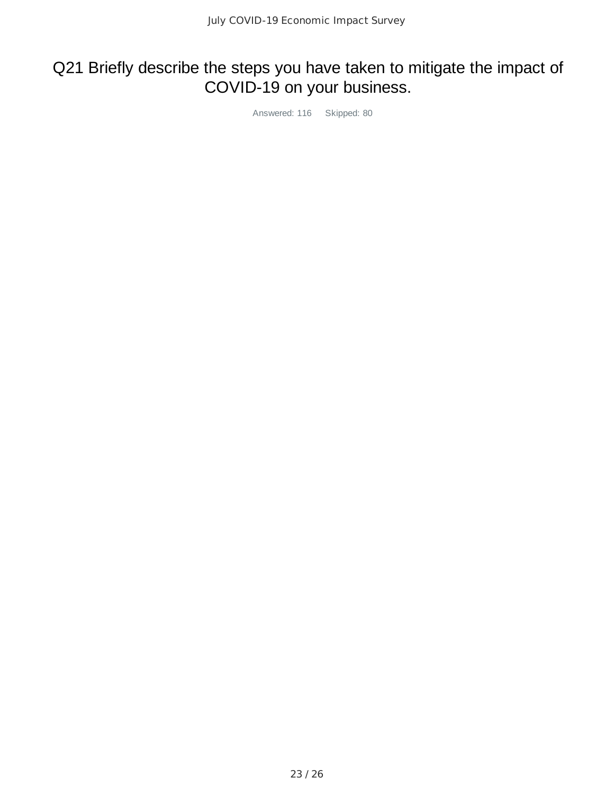## Q21 Briefly describe the steps you have taken to mitigate the impact of COVID-19 on your business.

Answered: 116 Skipped: 80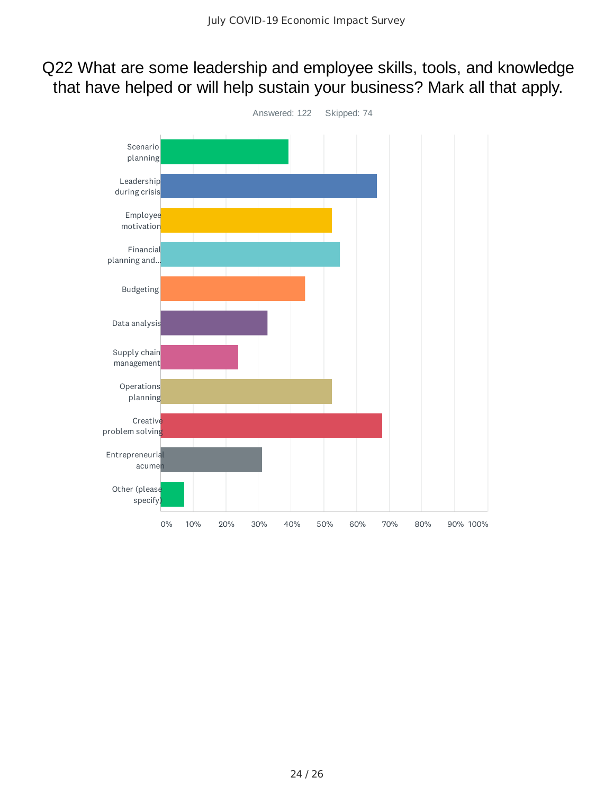### Q22 What are some leadership and employee skills, tools, and knowledge that have helped or will help sustain your business? Mark all that apply.

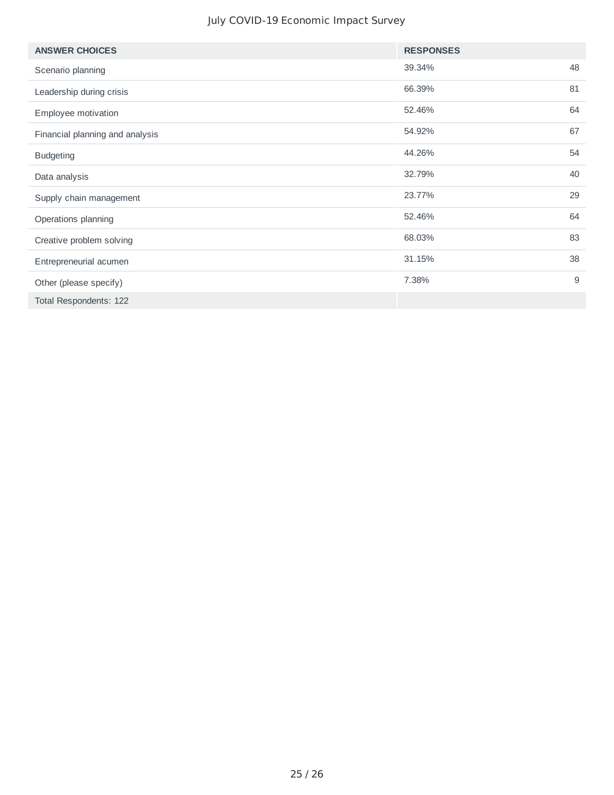#### July COVID-19 Economic Impact Survey

| <b>ANSWER CHOICES</b>           | <b>RESPONSES</b> |    |
|---------------------------------|------------------|----|
| Scenario planning               | 39.34%           | 48 |
| Leadership during crisis        | 66.39%           | 81 |
| Employee motivation             | 52.46%           | 64 |
| Financial planning and analysis | 54.92%           | 67 |
| <b>Budgeting</b>                | 44.26%           | 54 |
| Data analysis                   | 32.79%           | 40 |
| Supply chain management         | 23.77%           | 29 |
| Operations planning             | 52.46%           | 64 |
| Creative problem solving        | 68.03%           | 83 |
| Entrepreneurial acumen          | 31.15%           | 38 |
| Other (please specify)          | 7.38%            | 9  |
| Total Respondents: 122          |                  |    |